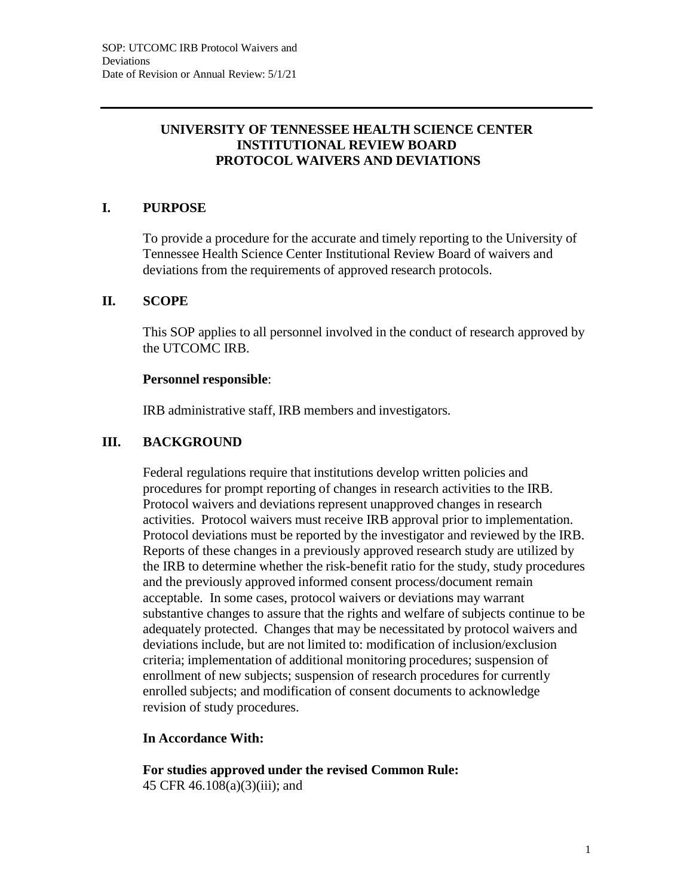### **UNIVERSITY OF TENNESSEE HEALTH SCIENCE CENTER INSTITUTIONAL REVIEW BOARD PROTOCOL WAIVERS AND DEVIATIONS**

## **I. PURPOSE**

To provide a procedure for the accurate and timely reporting to the University of Tennessee Health Science Center Institutional Review Board of waivers and deviations from the requirements of approved research protocols.

#### **II. SCOPE**

This SOP applies to all personnel involved in the conduct of research approved by the UTCOMC IRB.

#### **Personnel responsible**:

IRB administrative staff, IRB members and investigators.

### **III. BACKGROUND**

Federal regulations require that institutions develop written policies and procedures for prompt reporting of changes in research activities to the IRB. Protocol waivers and deviations represent unapproved changes in research activities. Protocol waivers must receive IRB approval prior to implementation. Protocol deviations must be reported by the investigator and reviewed by the IRB. Reports of these changes in a previously approved research study are utilized by the IRB to determine whether the risk-benefit ratio for the study, study procedures and the previously approved informed consent process/document remain acceptable. In some cases, protocol waivers or deviations may warrant substantive changes to assure that the rights and welfare of subjects continue to be adequately protected. Changes that may be necessitated by protocol waivers and deviations include, but are not limited to: modification of inclusion/exclusion criteria; implementation of additional monitoring procedures; suspension of enrollment of new subjects; suspension of research procedures for currently enrolled subjects; and modification of consent documents to acknowledge revision of study procedures.

#### **In Accordance With:**

**For studies approved under the revised Common Rule:** 45 CFR 46.108(a)(3)(iii); and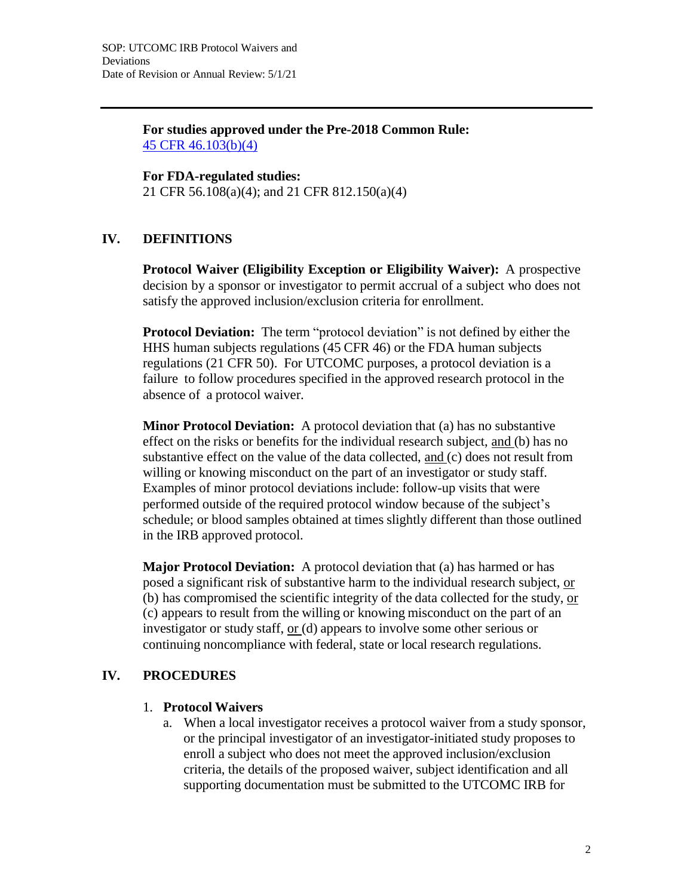**For studies approved under the Pre-2018 Common Rule:** 45 CFR 46.103(b)(4)

**For FDA-regulated studies:** 21 CFR 56.108(a)(4); and 21 CFR 812.150(a)(4)

# **IV. DEFINITIONS**

**Protocol Waiver (Eligibility Exception or Eligibility Waiver):** A prospective decision by a sponsor or investigator to permit accrual of a subject who does not satisfy the approved inclusion/exclusion criteria for enrollment.

**Protocol Deviation:** The term "protocol deviation" is not defined by either the HHS human subjects regulations (45 CFR 46) or the FDA human subjects regulations (21 CFR 50). For UTCOMC purposes, a protocol deviation is a failure to follow procedures specified in the approved research protocol in the absence of a protocol waiver.

**Minor Protocol Deviation:** A protocol deviation that (a) has no substantive effect on the risks or benefits for the individual research subject, and (b) has no substantive effect on the value of the data collected, and (c) does not result from willing or knowing misconduct on the part of an investigator or study staff. Examples of minor protocol deviations include: follow-up visits that were performed outside of the required protocol window because of the subject's schedule; or blood samples obtained at times slightly different than those outlined in the IRB approved protocol.

**Major Protocol Deviation:** A protocol deviation that (a) has harmed or has posed a significant risk of substantive harm to the individual research subject, or (b) has compromised the scientific integrity of the data collected for the study, or (c) appears to result from the willing or knowing misconduct on the part of an investigator or study staff, or (d) appears to involve some other serious or continuing noncompliance with federal, state or local research regulations.

## **IV. PROCEDURES**

#### 1. **Protocol Waivers**

a. When a local investigator receives a protocol waiver from a study sponsor, or the principal investigator of an investigator-initiated study proposes to enroll a subject who does not meet the approved inclusion/exclusion criteria, the details of the proposed waiver, subject identification and all supporting documentation must be submitted to the UTCOMC IRB for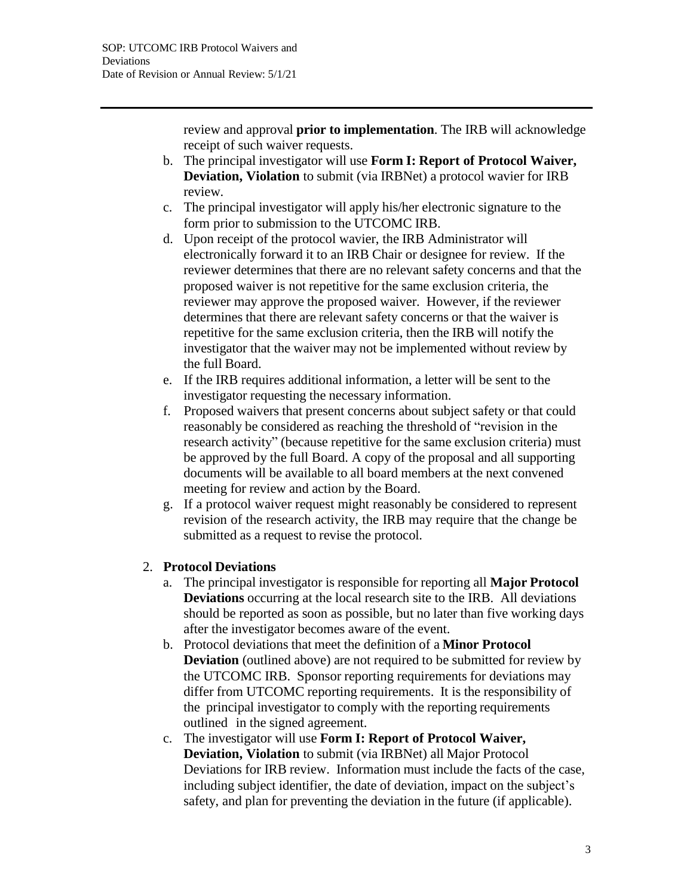review and approval **prior to implementation**. The IRB will acknowledge receipt of such waiver requests.

- b. The principal investigator will use **Form I: Report of Protocol Waiver, Deviation, Violation** to submit (via IRBNet) a protocol wavier for IRB review.
- c. The principal investigator will apply his/her electronic signature to the form prior to submission to the UTCOMC IRB.
- d. Upon receipt of the protocol wavier, the IRB Administrator will electronically forward it to an IRB Chair or designee for review. If the reviewer determines that there are no relevant safety concerns and that the proposed waiver is not repetitive for the same exclusion criteria, the reviewer may approve the proposed waiver. However, if the reviewer determines that there are relevant safety concerns or that the waiver is repetitive for the same exclusion criteria, then the IRB will notify the investigator that the waiver may not be implemented without review by the full Board.
- e. If the IRB requires additional information, a letter will be sent to the investigator requesting the necessary information.
- f. Proposed waivers that present concerns about subject safety or that could reasonably be considered as reaching the threshold of "revision in the research activity" (because repetitive for the same exclusion criteria) must be approved by the full Board. A copy of the proposal and all supporting documents will be available to all board members at the next convened meeting for review and action by the Board.
- g. If a protocol waiver request might reasonably be considered to represent revision of the research activity, the IRB may require that the change be submitted as a request to revise the protocol.

## 2. **Protocol Deviations**

- a. The principal investigator is responsible for reporting all **Major Protocol Deviations** occurring at the local research site to the IRB. All deviations should be reported as soon as possible, but no later than five working days after the investigator becomes aware of the event.
- b. Protocol deviations that meet the definition of a **Minor Protocol Deviation** (outlined above) are not required to be submitted for review by the UTCOMC IRB. Sponsor reporting requirements for deviations may differ from UTCOMC reporting requirements. It is the responsibility of the principal investigator to comply with the reporting requirements outlined in the signed agreement.
- c. The investigator will use **Form I: Report of Protocol Waiver, Deviation, Violation** to submit (via IRBNet) all Major Protocol Deviations for IRB review. Information must include the facts of the case, including subject identifier, the date of deviation, impact on the subject's safety, and plan for preventing the deviation in the future (if applicable).